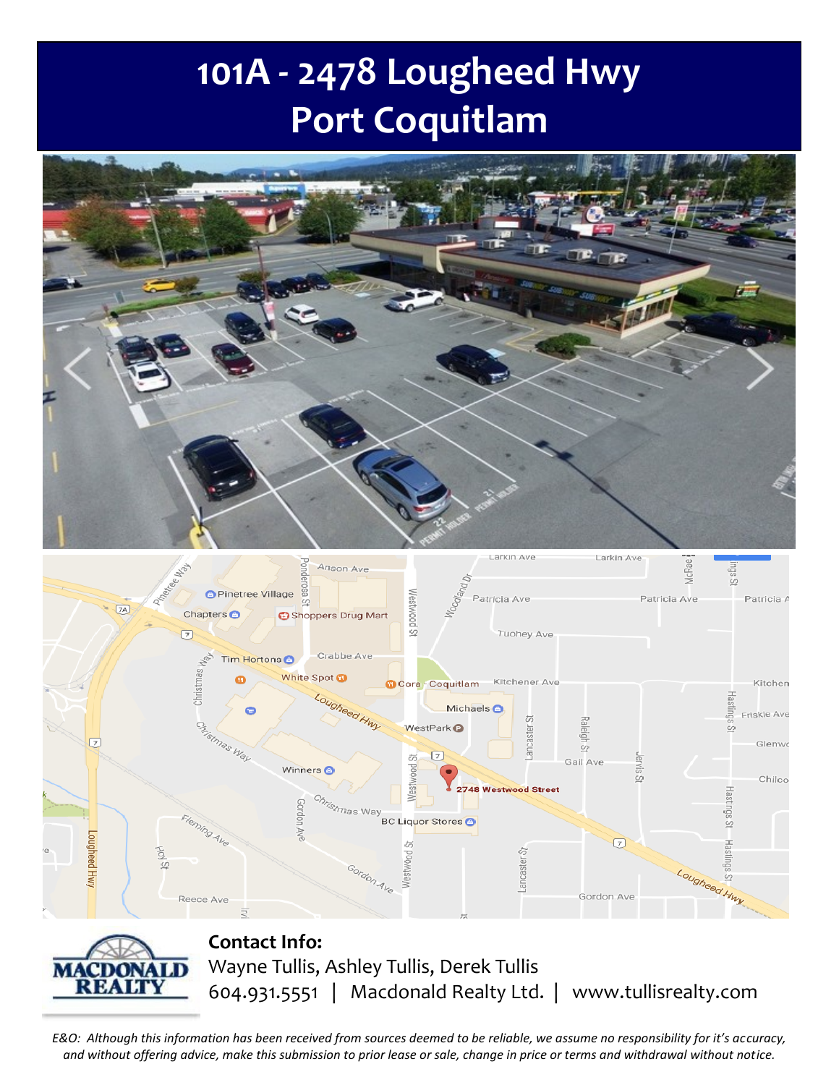# **101A - 2478 Lougheed Hwy Port Coquitlam**



*E&O: Although this information has been received from sources deemed to be reliable, we assume no responsibility for it's accuracy, and without offering advice, make this submission to prior lease or sale, change in price or terms and withdrawal without notice.*